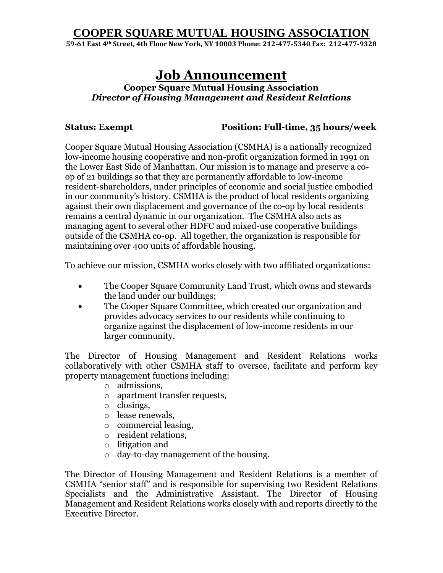**59-61 East 4th Street, 4th Floor New York, NY 10003 Phone: 212-477-5340 Fax: 212-477-9328**

# **Job Announcement**

#### **Cooper Square Mutual Housing Association**  *Director of Housing Management and Resident Relations*

#### **Status: Exempt Position: Full-time, 35 hours/week**

Cooper Square Mutual Housing Association (CSMHA) is a nationally recognized low-income housing cooperative and non-profit organization formed in 1991 on the Lower East Side of Manhattan. Our mission is to manage and preserve a coop of 21 buildings so that they are permanently affordable to low-income resident-shareholders, under principles of economic and social justice embodied in our community's history. CSMHA is the product of local residents organizing against their own displacement and governance of the co-op by local residents remains a central dynamic in our organization. The CSMHA also acts as managing agent to several other HDFC and mixed-use cooperative buildings outside of the CSMHA co-op. All together, the organization is responsible for maintaining over 400 units of affordable housing.

To achieve our mission, CSMHA works closely with two affiliated organizations:

- The Cooper Square Community Land Trust, which owns and stewards the land under our buildings;
- The Cooper Square Committee, which created our organization and provides advocacy services to our residents while continuing to organize against the displacement of low-income residents in our larger community.

The Director of Housing Management and Resident Relations works collaboratively with other CSMHA staff to oversee, facilitate and perform key property management functions including:

- o admissions,
- o apartment transfer requests,
- o closings,
- o lease renewals,
- o commercial leasing,
- o resident relations,
- o litigation and
- o day-to-day management of the housing.

The Director of Housing Management and Resident Relations is a member of CSMHA "senior staff" and is responsible for supervising two Resident Relations Specialists and the Administrative Assistant. The Director of Housing Management and Resident Relations works closely with and reports directly to the Executive Director.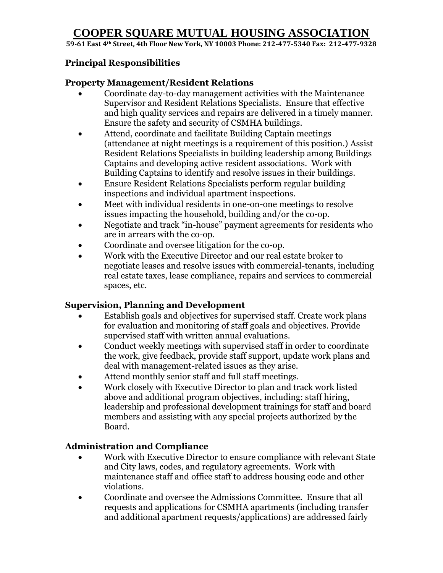**59-61 East 4th Street, 4th Floor New York, NY 10003 Phone: 212-477-5340 Fax: 212-477-9328**

### **Principal Responsibilities**

#### **Property Management/Resident Relations**

- Coordinate day-to-day management activities with the Maintenance Supervisor and Resident Relations Specialists. Ensure that effective and high quality services and repairs are delivered in a timely manner. Ensure the safety and security of CSMHA buildings.
- Attend, coordinate and facilitate Building Captain meetings (attendance at night meetings is a requirement of this position.) Assist Resident Relations Specialists in building leadership among Buildings Captains and developing active resident associations. Work with Building Captains to identify and resolve issues in their buildings.
- Ensure Resident Relations Specialists perform regular building inspections and individual apartment inspections.
- Meet with individual residents in one-on-one meetings to resolve issues impacting the household, building and/or the co-op.
- Negotiate and track "in-house" payment agreements for residents who are in arrears with the co-op.
- Coordinate and oversee litigation for the co-op.
- Work with the Executive Director and our real estate broker to negotiate leases and resolve issues with commercial-tenants, including real estate taxes, lease compliance, repairs and services to commercial spaces, etc.

#### **Supervision, Planning and Development**

- Establish goals and objectives for supervised staff. Create work plans for evaluation and monitoring of staff goals and objectives. Provide supervised staff with written annual evaluations.
- Conduct weekly meetings with supervised staff in order to coordinate the work, give feedback, provide staff support, update work plans and deal with management-related issues as they arise.
- Attend monthly senior staff and full staff meetings.
- Work closely with Executive Director to plan and track work listed above and additional program objectives, including: staff hiring, leadership and professional development trainings for staff and board members and assisting with any special projects authorized by the Board.

#### **Administration and Compliance**

- Work with Executive Director to ensure compliance with relevant State and City laws, codes, and regulatory agreements. Work with maintenance staff and office staff to address housing code and other violations.
- Coordinate and oversee the Admissions Committee. Ensure that all requests and applications for CSMHA apartments (including transfer and additional apartment requests/applications) are addressed fairly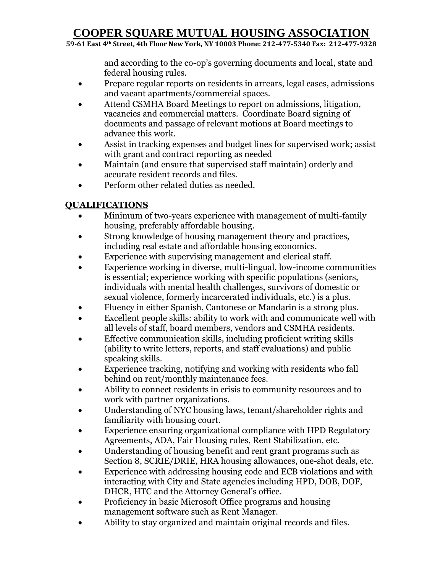**59-61 East 4th Street, 4th Floor New York, NY 10003 Phone: 212-477-5340 Fax: 212-477-9328**

and according to the co-op's governing documents and local, state and federal housing rules.

- Prepare regular reports on residents in arrears, legal cases, admissions and vacant apartments/commercial spaces.
- Attend CSMHA Board Meetings to report on admissions, litigation, vacancies and commercial matters. Coordinate Board signing of documents and passage of relevant motions at Board meetings to advance this work.
- Assist in tracking expenses and budget lines for supervised work; assist with grant and contract reporting as needed
- Maintain (and ensure that supervised staff maintain) orderly and accurate resident records and files.
- Perform other related duties as needed.

## **QUALIFICATIONS**

- Minimum of two-years experience with management of multi-family housing, preferably affordable housing.
- Strong knowledge of housing management theory and practices, including real estate and affordable housing economics.
- Experience with supervising management and clerical staff.
- Experience working in diverse, multi-lingual, low-income communities is essential; experience working with specific populations (seniors, individuals with mental health challenges, survivors of domestic or sexual violence, formerly incarcerated individuals, etc.) is a plus.
- Fluency in either Spanish, Cantonese or Mandarin is a strong plus.
- Excellent people skills: ability to work with and communicate well with all levels of staff, board members, vendors and CSMHA residents.
- Effective communication skills, including proficient writing skills (ability to write letters, reports, and staff evaluations) and public speaking skills.
- Experience tracking, notifying and working with residents who fall behind on rent/monthly maintenance fees.
- Ability to connect residents in crisis to community resources and to work with partner organizations.
- Understanding of NYC housing laws, tenant/shareholder rights and familiarity with housing court.
- Experience ensuring organizational compliance with HPD Regulatory Agreements, ADA, Fair Housing rules, Rent Stabilization, etc.
- Understanding of housing benefit and rent grant programs such as Section 8, SCRIE/DRIE, HRA housing allowances, one-shot deals, etc.
- Experience with addressing housing code and ECB violations and with interacting with City and State agencies including HPD, DOB, DOF, DHCR, HTC and the Attorney General's office.
- Proficiency in basic Microsoft Office programs and housing management software such as Rent Manager.
- Ability to stay organized and maintain original records and files.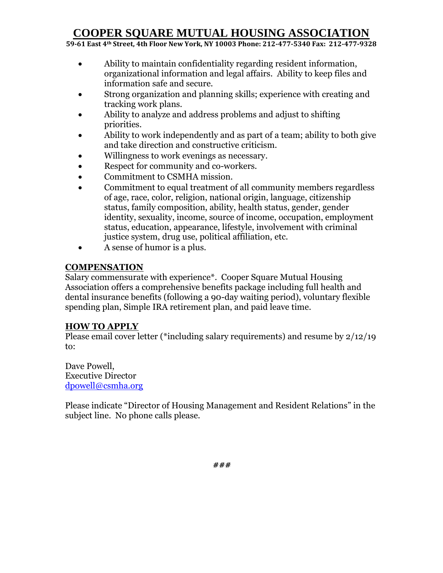**59-61 East 4th Street, 4th Floor New York, NY 10003 Phone: 212-477-5340 Fax: 212-477-9328**

- Ability to maintain confidentiality regarding resident information, organizational information and legal affairs. Ability to keep files and information safe and secure.
- Strong organization and planning skills; experience with creating and tracking work plans.
- Ability to analyze and address problems and adjust to shifting priorities.
- Ability to work independently and as part of a team; ability to both give and take direction and constructive criticism.
- Willingness to work evenings as necessary.
- Respect for community and co-workers.
- Commitment to CSMHA mission.
- Commitment to equal treatment of all community members regardless of age, race, color, religion, national origin, language, citizenship status, family composition, ability, health status, gender, gender identity, sexuality, income, source of income, occupation, employment status, education, appearance, lifestyle, involvement with criminal justice system, drug use, political affiliation, etc.
- A sense of humor is a plus.

#### **COMPENSATION**

Salary commensurate with experience\*. Cooper Square Mutual Housing Association offers a comprehensive benefits package including full health and dental insurance benefits (following a 90-day waiting period), voluntary flexible spending plan, Simple IRA retirement plan, and paid leave time.

#### **HOW TO APPLY**

Please email cover letter (\*including salary requirements) and resume by 2/12/19 to:

Dave Powell, Executive Director [dpowell@csmha.org](mailto:dpowell@csmha.org)

Please indicate "Director of Housing Management and Resident Relations" in the subject line. No phone calls please.